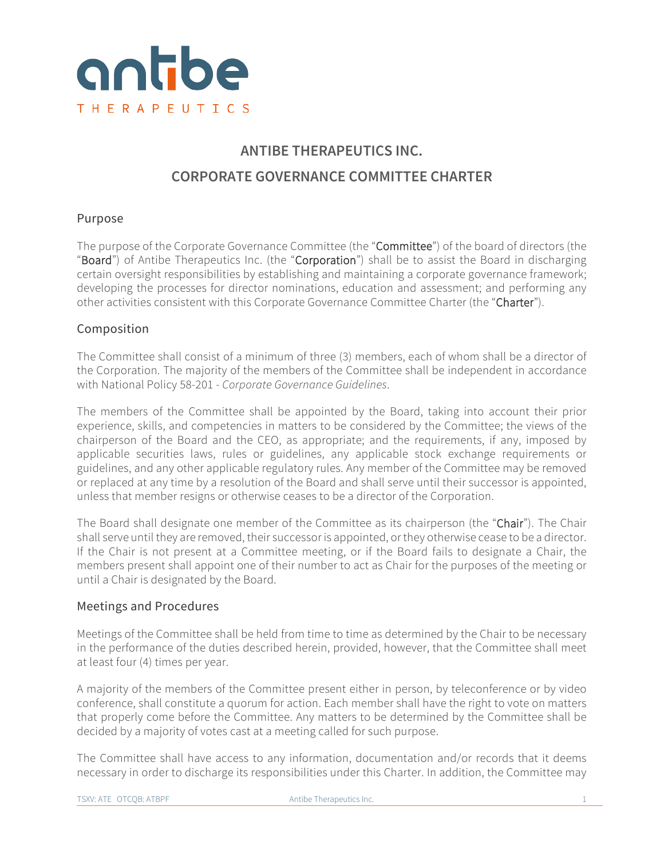

# **ANTIBE THERAPEUTICS INC. CORPORATE GOVERNANCE COMMITTEE CHARTER**

# Purpose

The purpose of the Corporate Governance Committee (the "Committee") of the board of directors (the "Board") of Antibe Therapeutics Inc. (the "Corporation") shall be to assist the Board in discharging certain oversight responsibilities by establishing and maintaining a corporate governance framework; developing the processes for director nominations, education and assessment; and performing any other activities consistent with this Corporate Governance Committee Charter (the "Charter").

# Composition

The Committee shall consist of a minimum of three (3) members, each of whom shall be a director of the Corporation. The majority of the members of the Committee shall be independent in accordance with National Policy 58-201 - *Corporate Governance Guidelines*.

The members of the Committee shall be appointed by the Board, taking into account their prior experience, skills, and competencies in matters to be considered by the Committee; the views of the chairperson of the Board and the CEO, as appropriate; and the requirements, if any, imposed by applicable securities laws, rules or guidelines, any applicable stock exchange requirements or guidelines, and any other applicable regulatory rules. Any member of the Committee may be removed or replaced at any time by a resolution of the Board and shall serve until their successor is appointed, unless that member resigns or otherwise ceases to be a director of the Corporation.

The Board shall designate one member of the Committee as its chairperson (the "Chair"). The Chair shall serve until they are removed, their successor is appointed, or they otherwise cease to be a director. If the Chair is not present at a Committee meeting, or if the Board fails to designate a Chair, the members present shall appoint one of their number to act as Chair for the purposes of the meeting or until a Chair is designated by the Board.

# Meetings and Procedures

Meetings of the Committee shall be held from time to time as determined by the Chair to be necessary in the performance of the duties described herein, provided, however, that the Committee shall meet at least four (4) times per year.

A majority of the members of the Committee present either in person, by teleconference or by video conference, shall constitute a quorum for action. Each member shall have the right to vote on matters that properly come before the Committee. Any matters to be determined by the Committee shall be decided by a majority of votes cast at a meeting called for such purpose.

The Committee shall have access to any information, documentation and/or records that it deems necessary in order to discharge its responsibilities under this Charter. In addition, the Committee may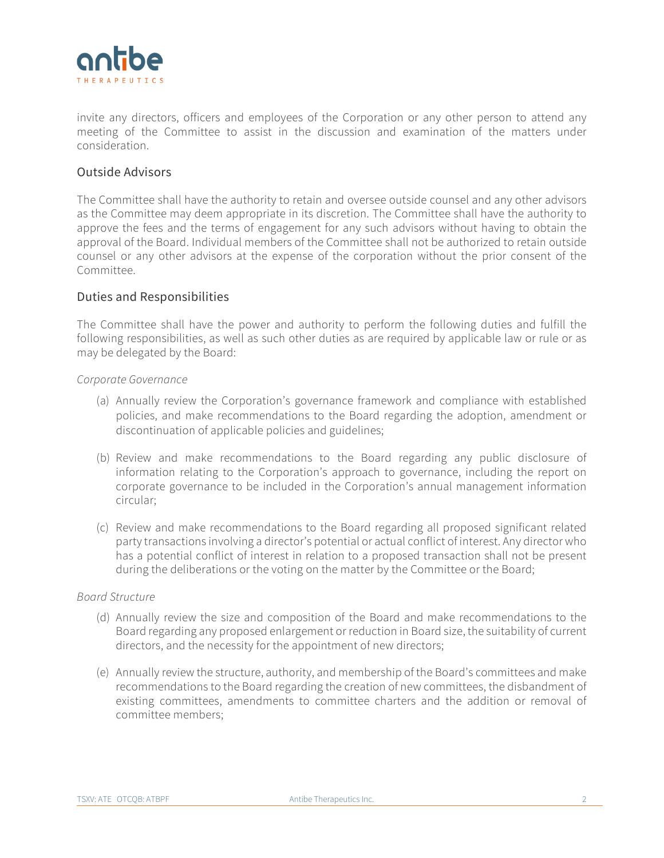invite any directors, officers and employees of the Corporation or any other person to attend any meeting of the Committee to assist in the discussion and examination of the matters under consideration.

# Outside Advisors

The Committee shall have the authority to retain and oversee outside counsel and any other advisors as the Committee may deem appropriate in its discretion. The Committee shall have the authority to approve the fees and the terms of engagement for any such advisors without having to obtain the approval of the Board. Individual members of the Committee shall not be authorized to retain outside counsel or any other advisors at the expense of the corporation without the prior consent of the Committee.

# Duties and Responsibilities

The Committee shall have the power and authority to perform the following duties and fulfill the following responsibilities, as well as such other duties as are required by applicable law or rule or as may be delegated by the Board:

### *Corporate Governance*

- (a) Annually review the Corporation's governance framework and compliance with established policies, and make recommendations to the Board regarding the adoption, amendment or discontinuation of applicable policies and guidelines;
- (b) Review and make recommendations to the Board regarding any public disclosure of information relating to the Corporation's approach to governance, including the report on corporate governance to be included in the Corporation's annual management information circular;
- (c) Review and make recommendations to the Board regarding all proposed significant related party transactions involving a director's potential or actual conflict of interest. Any director who has a potential conflict of interest in relation to a proposed transaction shall not be present during the deliberations or the voting on the matter by the Committee or the Board;

### *Board Structure*

- (d) Annually review the size and composition of the Board and make recommendations to the Board regarding any proposed enlargement or reduction in Board size, the suitability of current directors, and the necessity for the appointment of new directors;
- (e) Annually review the structure, authority, and membership of the Board's committees and make recommendations to the Board regarding the creation of new committees, the disbandment of existing committees, amendments to committee charters and the addition or removal of committee members;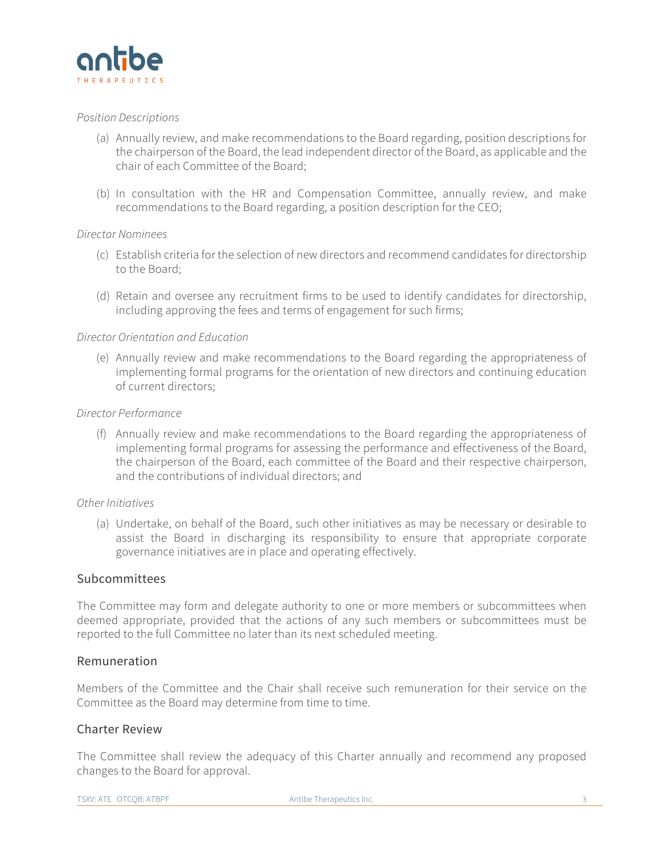

#### *Position Descriptions*

- (a) Annually review, and make recommendations to the Board regarding, position descriptions for the chairperson of the Board, the lead independent director of the Board, as applicable and the chair of each Committee of the Board;
- (b) In consultation with the HR and Compensation Committee, annually review, and make recommendations to the Board regarding, a position description for the CEO;

#### *Director Nominees*

- (c) Establish criteria for the selection of new directors and recommend candidates for directorship to the Board;
- (d) Retain and oversee any recruitment firms to be used to identify candidates for directorship, including approving the fees and terms of engagement for such firms;

#### *Director Orientation and Education*

(e) Annually review and make recommendations to the Board regarding the appropriateness of implementing formal programs for the orientation of new directors and continuing education of current directors;

### *Director Performance*

(f) Annually review and make recommendations to the Board regarding the appropriateness of implementing formal programs for assessing the performance and effectiveness of the Board, the chairperson of the Board, each committee of the Board and their respective chairperson, and the contributions of individual directors; and

#### *Other Initiatives*

(a) Undertake, on behalf of the Board, such other initiatives as may be necessary or desirable to assist the Board in discharging its responsibility to ensure that appropriate corporate governance initiatives are in place and operating effectively.

# Subcommittees

The Committee may form and delegate authority to one or more members or subcommittees when deemed appropriate, provided that the actions of any such members or subcommittees must be reported to the full Committee no later than its next scheduled meeting.

# Remuneration

Members of the Committee and the Chair shall receive such remuneration for their service on the Committee as the Board may determine from time to time.

# Charter Review

The Committee shall review the adequacy of this Charter annually and recommend any proposed changes to the Board for approval.